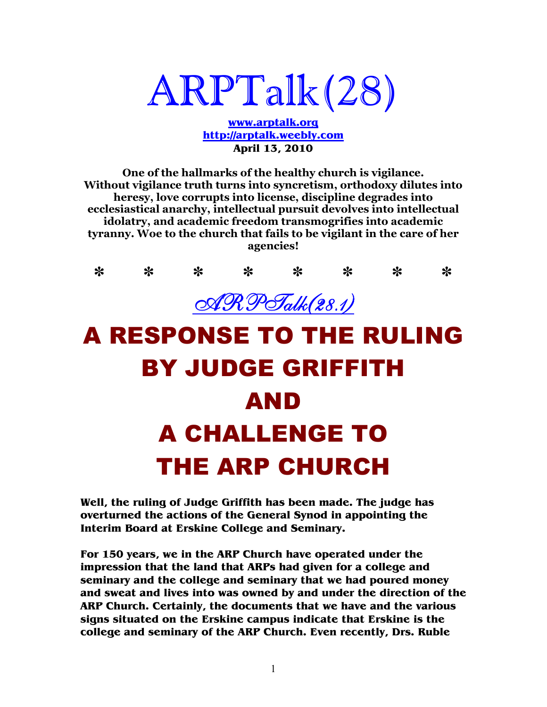# ARPTalk(28)

**www.arptalk.org http://arptalk.weebly.com April 13, 2010** 

**One of the hallmarks of the healthy church is vigilance. Without vigilance truth turns into syncretism, orthodoxy dilutes into heresy, love corrupts into license, discipline degrades into ecclesiastical anarchy, intellectual pursuit devolves into intellectual idolatry, and academic freedom transmogrifies into academic tyranny. Woe to the church that fails to be vigilant in the care of her agencies!** 



# BY JUDGE GRIFFITH AND A CHALLENGE TO THE ARP CHURCH

**Well, the ruling of Judge Griffith has been made. The judge has overturned the actions of the General Synod in appointing the Interim Board at Erskine College and Seminary.** 

**For 150 years, we in the ARP Church have operated under the impression that the land that ARPs had given for a college and seminary and the college and seminary that we had poured money and sweat and lives into was owned by and under the direction of the ARP Church. Certainly, the documents that we have and the various signs situated on the Erskine campus indicate that Erskine is the college and seminary of the ARP Church. Even recently, Drs. Ruble**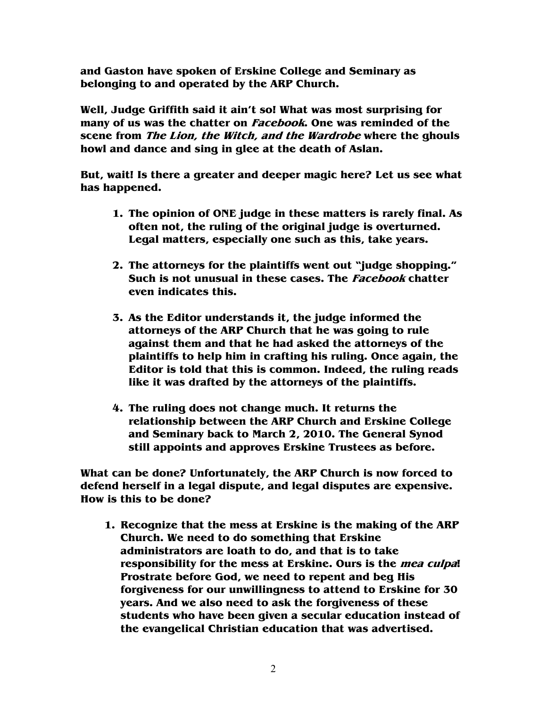**and Gaston have spoken of Erskine College and Seminary as belonging to and operated by the ARP Church.** 

**Well, Judge Griffith said it ain't so! What was most surprising for many of us was the chatter on Facebook. One was reminded of the scene from The Lion, the Witch, and the Wardrobe where the ghouls howl and dance and sing in glee at the death of Aslan.** 

**But, wait! Is there a greater and deeper magic here? Let us see what has happened.** 

- **1. The opinion of ONE judge in these matters is rarely final. As often not, the ruling of the original judge is overturned. Legal matters, especially one such as this, take years.**
- **2. The attorneys for the plaintiffs went out "judge shopping." Such is not unusual in these cases. The Facebook chatter even indicates this.**
- **3. As the Editor understands it, the judge informed the attorneys of the ARP Church that he was going to rule against them and that he had asked the attorneys of the plaintiffs to help him in crafting his ruling. Once again, the Editor is told that this is common. Indeed, the ruling reads like it was drafted by the attorneys of the plaintiffs.**
- **4. The ruling does not change much. It returns the relationship between the ARP Church and Erskine College and Seminary back to March 2, 2010. The General Synod still appoints and approves Erskine Trustees as before.**

**What can be done? Unfortunately, the ARP Church is now forced to defend herself in a legal dispute, and legal disputes are expensive. How is this to be done?** 

**1. Recognize that the mess at Erskine is the making of the ARP Church. We need to do something that Erskine administrators are loath to do, and that is to take responsibility for the mess at Erskine. Ours is the mea culpa! Prostrate before God, we need to repent and beg His forgiveness for our unwillingness to attend to Erskine for 30 years. And we also need to ask the forgiveness of these students who have been given a secular education instead of the evangelical Christian education that was advertised.**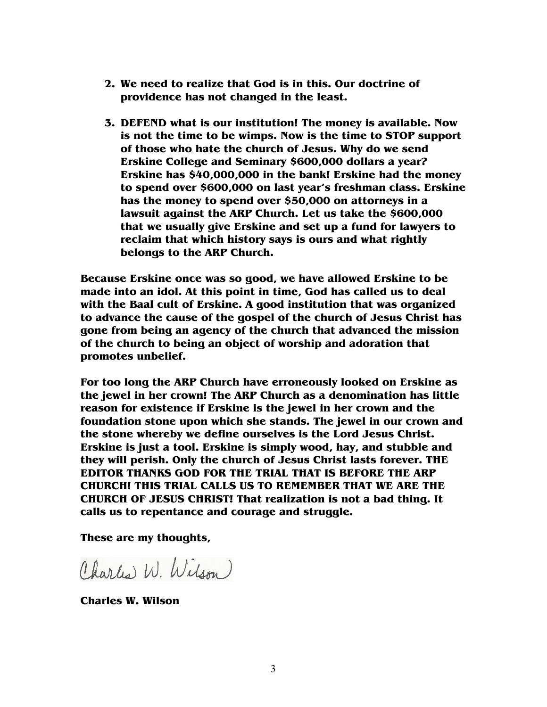- **2. We need to realize that God is in this. Our doctrine of providence has not changed in the least.**
- **3. DEFEND what is our institution! The money is available. Now is not the time to be wimps. Now is the time to STOP support of those who hate the church of Jesus. Why do we send Erskine College and Seminary \$600,000 dollars a year? Erskine has \$40,000,000 in the bank! Erskine had the money to spend over \$600,000 on last year's freshman class. Erskine has the money to spend over \$50,000 on attorneys in a lawsuit against the ARP Church. Let us take the \$600,000 that we usually give Erskine and set up a fund for lawyers to reclaim that which history says is ours and what rightly belongs to the ARP Church.**

**Because Erskine once was so good, we have allowed Erskine to be made into an idol. At this point in time, God has called us to deal with the Baal cult of Erskine. A good institution that was organized to advance the cause of the gospel of the church of Jesus Christ has gone from being an agency of the church that advanced the mission of the church to being an object of worship and adoration that promotes unbelief.** 

**For too long the ARP Church have erroneously looked on Erskine as the jewel in her crown! The ARP Church as a denomination has little reason for existence if Erskine is the jewel in her crown and the foundation stone upon which she stands. The jewel in our crown and the stone whereby we define ourselves is the Lord Jesus Christ. Erskine is just a tool. Erskine is simply wood, hay, and stubble and they will perish. Only the church of Jesus Christ lasts forever. THE EDITOR THANKS GOD FOR THE TRIAL THAT IS BEFORE THE ARP CHURCH! THIS TRIAL CALLS US TO REMEMBER THAT WE ARE THE CHURCH OF JESUS CHRIST! That realization is not a bad thing. It calls us to repentance and courage and struggle.** 

**These are my thoughts,** 

Charles W. Wilson

**Charles W. Wilson**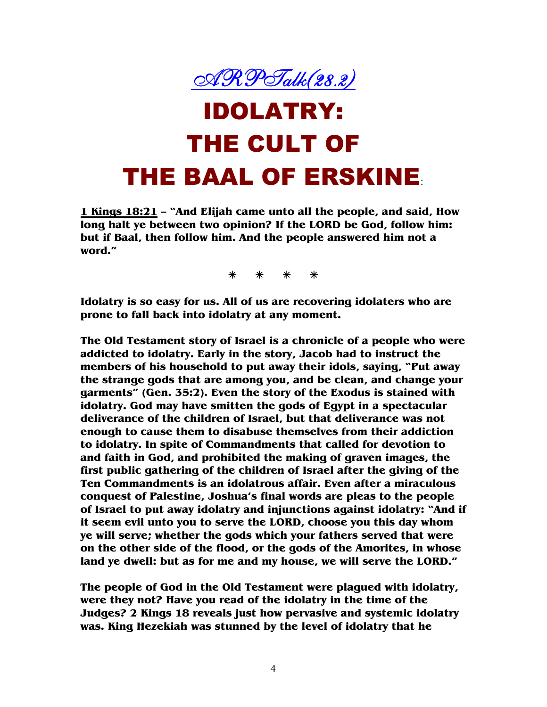

## IDOLATRY: THE CULT OF THE BAAL OF ERSKINE:

**1 Kings 18:21 – "And Elijah came unto all the people, and said, How long halt ye between two opinion? If the LORD be God, follow him: but if Baal, then follow him. And the people answered him not a word."** 

**Idolatry is so easy for us. All of us are recovering idolaters who are prone to fall back into idolatry at any moment.** 

**The Old Testament story of Israel is a chronicle of a people who were addicted to idolatry. Early in the story, Jacob had to instruct the members of his household to put away their idols, saying, "Put away the strange gods that are among you, and be clean, and change your garments" (Gen. 35:2). Even the story of the Exodus is stained with idolatry. God may have smitten the gods of Egypt in a spectacular deliverance of the children of Israel, but that deliverance was not enough to cause them to disabuse themselves from their addiction to idolatry. In spite of Commandments that called for devotion to and faith in God, and prohibited the making of graven images, the first public gathering of the children of Israel after the giving of the Ten Commandments is an idolatrous affair. Even after a miraculous conquest of Palestine, Joshua's final words are pleas to the people of Israel to put away idolatry and injunctions against idolatry: "And if it seem evil unto you to serve the LORD, choose you this day whom ye will serve; whether the gods which your fathers served that were on the other side of the flood, or the gods of the Amorites, in whose land ye dwell: but as for me and my house, we will serve the LORD."** 

**The people of God in the Old Testament were plagued with idolatry, were they not? Have you read of the idolatry in the time of the Judges? 2 Kings 18 reveals just how pervasive and systemic idolatry was. King Hezekiah was stunned by the level of idolatry that he**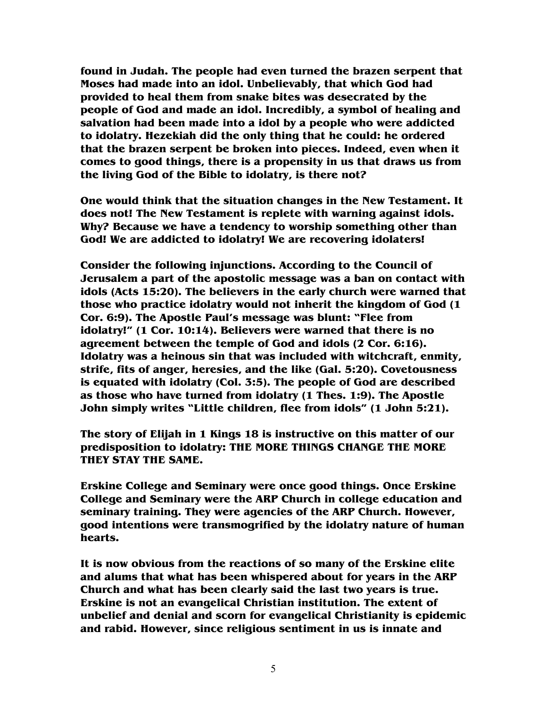**found in Judah. The people had even turned the brazen serpent that Moses had made into an idol. Unbelievably, that which God had provided to heal them from snake bites was desecrated by the people of God and made an idol. Incredibly, a symbol of healing and salvation had been made into a idol by a people who were addicted to idolatry. Hezekiah did the only thing that he could: he ordered that the brazen serpent be broken into pieces. Indeed, even when it comes to good things, there is a propensity in us that draws us from the living God of the Bible to idolatry, is there not?** 

**One would think that the situation changes in the New Testament. It does not! The New Testament is replete with warning against idols. Why? Because we have a tendency to worship something other than God! We are addicted to idolatry! We are recovering idolaters!** 

**Consider the following injunctions. According to the Council of Jerusalem a part of the apostolic message was a ban on contact with idols (Acts 15:20). The believers in the early church were warned that those who practice idolatry would not inherit the kingdom of God (1 Cor. 6:9). The Apostle Paul's message was blunt: "Flee from idolatry!" (1 Cor. 10:14). Believers were warned that there is no agreement between the temple of God and idols (2 Cor. 6:16). Idolatry was a heinous sin that was included with witchcraft, enmity, strife, fits of anger, heresies, and the like (Gal. 5:20). Covetousness is equated with idolatry (Col. 3:5). The people of God are described as those who have turned from idolatry (1 Thes. 1:9). The Apostle John simply writes "Little children, flee from idols" (1 John 5:21).** 

**The story of Elijah in 1 Kings 18 is instructive on this matter of our predisposition to idolatry: THE MORE THINGS CHANGE THE MORE THEY STAY THE SAME.** 

**Erskine College and Seminary were once good things. Once Erskine College and Seminary were the ARP Church in college education and seminary training. They were agencies of the ARP Church. However, good intentions were transmogrified by the idolatry nature of human hearts.** 

**It is now obvious from the reactions of so many of the Erskine elite and alums that what has been whispered about for years in the ARP Church and what has been clearly said the last two years is true. Erskine is not an evangelical Christian institution. The extent of unbelief and denial and scorn for evangelical Christianity is epidemic and rabid. However, since religious sentiment in us is innate and**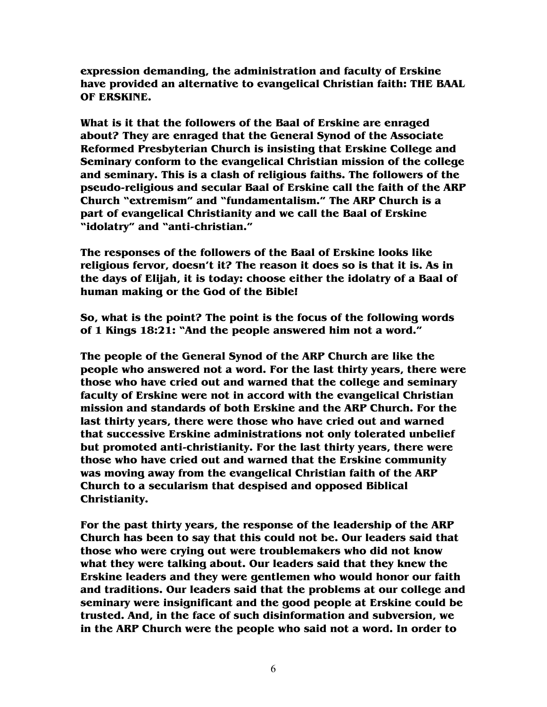**expression demanding, the administration and faculty of Erskine have provided an alternative to evangelical Christian faith: THE BAAL OF ERSKINE.** 

**What is it that the followers of the Baal of Erskine are enraged about? They are enraged that the General Synod of the Associate Reformed Presbyterian Church is insisting that Erskine College and Seminary conform to the evangelical Christian mission of the college and seminary. This is a clash of religious faiths. The followers of the pseudo-religious and secular Baal of Erskine call the faith of the ARP Church "extremism" and "fundamentalism." The ARP Church is a part of evangelical Christianity and we call the Baal of Erskine "idolatry" and "anti-christian."** 

**The responses of the followers of the Baal of Erskine looks like religious fervor, doesn't it? The reason it does so is that it is. As in the days of Elijah, it is today: choose either the idolatry of a Baal of human making or the God of the Bible!** 

**So, what is the point? The point is the focus of the following words of 1 Kings 18:21: "And the people answered him not a word."** 

**The people of the General Synod of the ARP Church are like the people who answered not a word. For the last thirty years, there were those who have cried out and warned that the college and seminary faculty of Erskine were not in accord with the evangelical Christian mission and standards of both Erskine and the ARP Church. For the last thirty years, there were those who have cried out and warned that successive Erskine administrations not only tolerated unbelief but promoted anti-christianity. For the last thirty years, there were those who have cried out and warned that the Erskine community was moving away from the evangelical Christian faith of the ARP Church to a secularism that despised and opposed Biblical Christianity.** 

**For the past thirty years, the response of the leadership of the ARP Church has been to say that this could not be. Our leaders said that those who were crying out were troublemakers who did not know what they were talking about. Our leaders said that they knew the Erskine leaders and they were gentlemen who would honor our faith and traditions. Our leaders said that the problems at our college and seminary were insignificant and the good people at Erskine could be trusted. And, in the face of such disinformation and subversion, we in the ARP Church were the people who said not a word. In order to**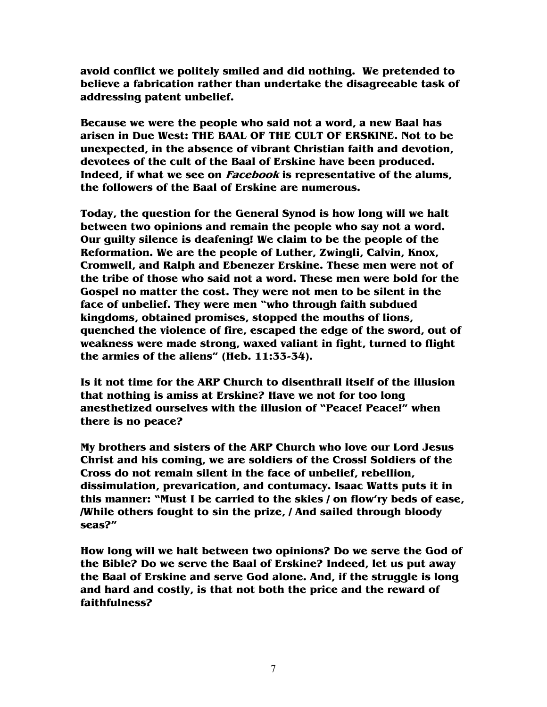**avoid conflict we politely smiled and did nothing. We pretended to believe a fabrication rather than undertake the disagreeable task of addressing patent unbelief.** 

**Because we were the people who said not a word, a new Baal has arisen in Due West: THE BAAL OF THE CULT OF ERSKINE. Not to be unexpected, in the absence of vibrant Christian faith and devotion, devotees of the cult of the Baal of Erskine have been produced. Indeed, if what we see on Facebook is representative of the alums, the followers of the Baal of Erskine are numerous.** 

**Today, the question for the General Synod is how long will we halt between two opinions and remain the people who say not a word. Our guilty silence is deafening! We claim to be the people of the Reformation. We are the people of Luther, Zwingli, Calvin, Knox, Cromwell, and Ralph and Ebenezer Erskine. These men were not of the tribe of those who said not a word. These men were bold for the Gospel no matter the cost. They were not men to be silent in the face of unbelief. They were men "who through faith subdued kingdoms, obtained promises, stopped the mouths of lions, quenched the violence of fire, escaped the edge of the sword, out of weakness were made strong, waxed valiant in fight, turned to flight the armies of the aliens" (Heb. 11:33-34).** 

**Is it not time for the ARP Church to disenthrall itself of the illusion that nothing is amiss at Erskine? Have we not for too long anesthetized ourselves with the illusion of "Peace! Peace!" when there is no peace?** 

**My brothers and sisters of the ARP Church who love our Lord Jesus Christ and his coming, we are soldiers of the Cross! Soldiers of the Cross do not remain silent in the face of unbelief, rebellion, dissimulation, prevarication, and contumacy. Isaac Watts puts it in this manner: "Must I be carried to the skies / on flow'ry beds of ease, /While others fought to sin the prize, / And sailed through bloody seas?"** 

**How long will we halt between two opinions? Do we serve the God of the Bible? Do we serve the Baal of Erskine? Indeed, let us put away the Baal of Erskine and serve God alone. And, if the struggle is long and hard and costly, is that not both the price and the reward of faithfulness?**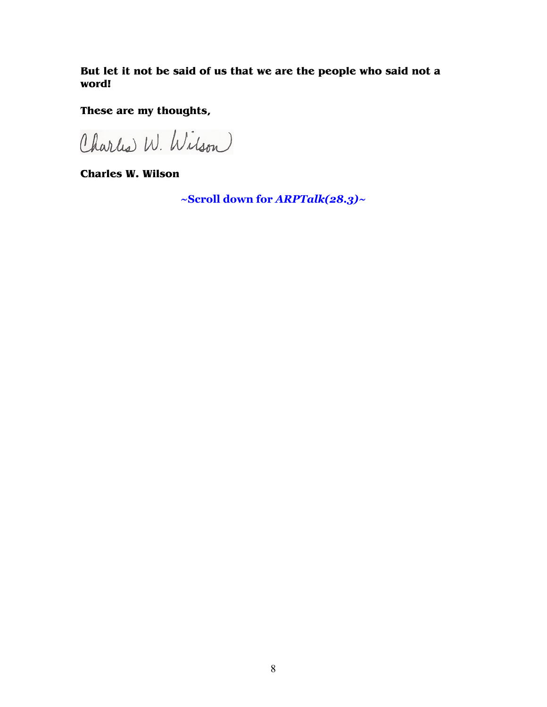**But let it not be said of us that we are the people who said not a word!** 

**These are my thoughts,** 

Charles W. Wilson

**Charles W. Wilson** 

**~Scroll down for** *ARPTalk(28.3)~*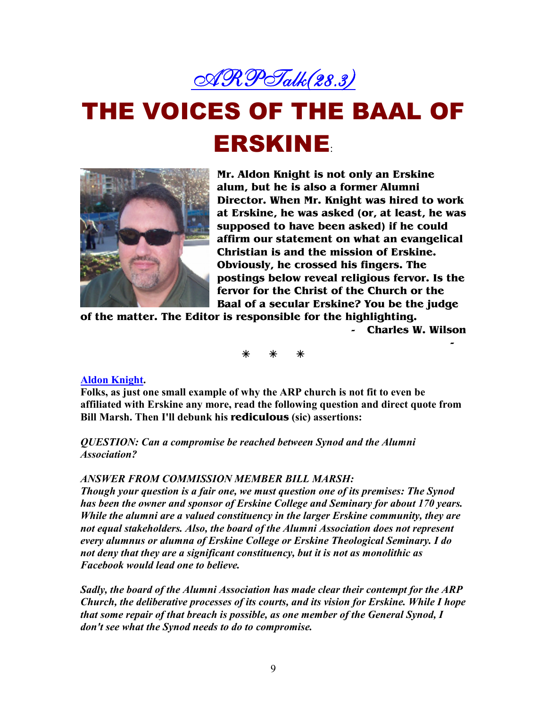

# THE VOICES OF THE BAAL OF **ERSKINE**



**Mr. Aldon Knight is not only an Erskine alum, but he is also a former Alumni Director. When Mr. Knight was hired to work at Erskine, he was asked (or, at least, he was supposed to have been asked) if he could affirm our statement on what an evangelical Christian is and the mission of Erskine. Obviously, he crossed his fingers. The postings below reveal religious fervor. Is the fervor for the Christ of the Church or the Baal of a secular Erskine? You be the judge** 

**of the matter. The Editor is responsible for the highlighting.** 

**- Charles W. Wilson** 

**-** 

### **Aldon Knight.**

**Folks, as just one small example of why the ARP church is not fit to even be affiliated with Erskine any more, read the following question and direct quote from Bill Marsh. Then I'll debunk his rediculous (sic) assertions:** 

*QUESTION: Can a compromise be reached between Synod and the Alumni Association?* 

#### *ASWER FROM COMMISSIO MEMBER BILL MARSH:*

*Though your question is a fair one, we must question one of its premises: The Synod has been the owner and sponsor of Erskine College and Seminary for about 170 years. While the alumni are a valued constituency in the larger Erskine community, they are not equal stakeholders. Also, the board of the Alumni Association does not represent every alumnus or alumna of Erskine College or Erskine Theological Seminary. I do not deny that they are a significant constituency, but it is not as monolithic as Facebook would lead one to believe.* 

*Sadly, the board of the Alumni Association has made clear their contempt for the ARP Church, the deliberative processes of its courts, and its vision for Erskine. While I hope that some repair of that breach is possible, as one member of the General Synod, I don't see what the Synod needs to do to compromise.*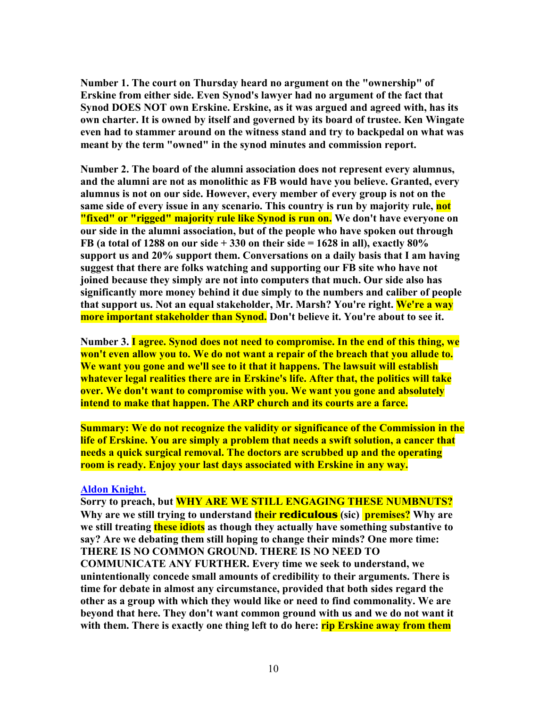Number 1. The court on Thursday heard no argument on the "ownership" of **Erskine from either side. Even Synod's lawyer had no argument of the fact that**  Synod DOES NOT own Erskine. Erskine, as it was argued and agreed with, has its **own charter. It is owned by itself and governed by its board of trustee. Ken Wingate even had to stammer around on the witness stand and try to backpedal on what was meant by the term "owned" in the synod minutes and commission report.** 

Number 2. The board of the alumni association does not represent every alumnus, **and the alumni are not as monolithic as FB would have you believe. Granted, every alumnus is not on our side. However, every member of every group is not on the same side of every issue in any scenario. This country is run by majority rule, not "fixed" or "rigged" majority rule like Synod is run on. We don't have everyone on our side in the alumni association, but of the people who have spoken out through FB (a total of 1288 on our side + 330 on their side = 1628 in all), exactly 80% support us and 20% support them. Conversations on a daily basis that I am having suggest that there are folks watching and supporting our FB site who have not joined because they simply are not into computers that much. Our side also has significantly more money behind it due simply to the numbers and caliber of people**  that support us. Not an equal stakeholder, Mr. Marsh? You're right. We're a way **more important stakeholder than Synod. Don't believe it. You're about to see it.** 

Number 3. I agree. Synod does not need to compromise. In the end of this thing, we **won't even allow you to. We do not want a repair of the breach that you allude to. We want you gone and we'll see to it that it happens. The lawsuit will establish whatever legal realities there are in Erskine's life. After that, the politics will take over. We don't want to compromise with you. We want you gone and absolutely intend to make that happen. The ARP church and its courts are a farce.** 

**Summary: We do not recognize the validity or significance of the Commission in the life of Erskine. You are simply a problem that needs a swift solution, a cancer that needs a quick surgical removal. The doctors are scrubbed up and the operating room is ready. Enjoy your last days associated with Erskine in any way.** 

#### **Aldon Knight.**

Sorry to preach, but **WHY ARE WE STILL ENGAGING THESE NUMBNUTS? Why are we still trying to understand their rediculous (sic) premises? Why are we still treating these idiots as though they actually have something substantive to say? Are we debating them still hoping to change their minds? One more time: THERE IS NO COMMON GROUND. THERE IS NO NEED TO COMMUNICATE ANY FURTHER. Every time we seek to understand, we unintentionally concede small amounts of credibility to their arguments. There is time for debate in almost any circumstance, provided that both sides regard the other as a group with which they would like or need to find commonality. We are beyond that here. They don't want common ground with us and we do not want it with them. There is exactly one thing left to do here: rip Erskine away from them**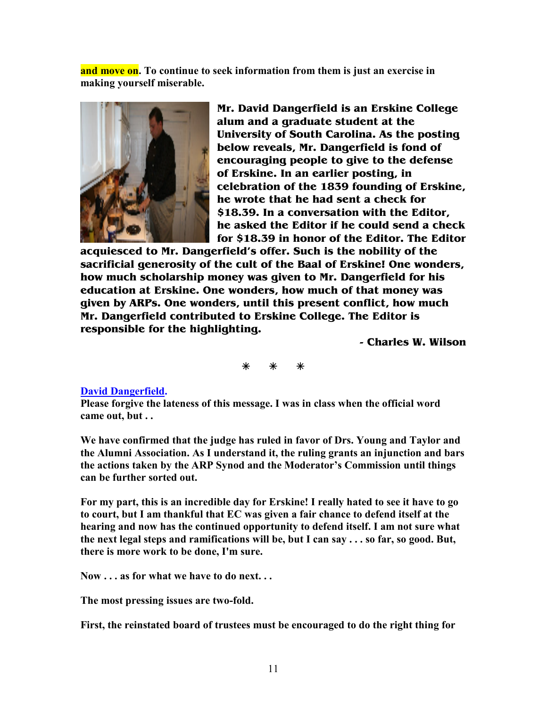**and move on. To continue to seek information from them is just an exercise in making yourself miserable.**



**Mr. David Dangerfield is an Erskine College alum and a graduate student at the University of South Carolina. As the posting below reveals, Mr. Dangerfield is fond of encouraging people to give to the defense of Erskine. In an earlier posting, in celebration of the 1839 founding of Erskine, he wrote that he had sent a check for \$18.39. In a conversation with the Editor, he asked the Editor if he could send a check for \$18.39 in honor of the Editor. The Editor** 

**acquiesced to Mr. Dangerfield's offer. Such is the nobility of the sacrificial generosity of the cult of the Baal of Erskine! One wonders, how much scholarship money was given to Mr. Dangerfield for his education at Erskine. One wonders, how much of that money was given by ARPs. One wonders, until this present conflict, how much Mr. Dangerfield contributed to Erskine College. The Editor is responsible for the highlighting.** 

**- Charles W. Wilson** 

### **David Dangerfield.**

**Please forgive the lateness of this message. I was in class when the official word came out, but . .** 

**We have confirmed that the judge has ruled in favor of Drs. Young and Taylor and the Alumni Association. As I understand it, the ruling grants an injunction and bars the actions taken by the ARP Synod and the Moderator's Commission until things can be further sorted out.** 

**For my part, this is an incredible day for Erskine! I really hated to see it have to go to court, but I am thankful that EC was given a fair chance to defend itself at the hearing and now has the continued opportunity to defend itself. I am not sure what the next legal steps and ramifications will be, but I can say . . . so far, so good. But, there is more work to be done, I'm sure.** 

Now . . . as for what we have to do next. . .

**The most pressing issues are two-fold.** 

**First, the reinstated board of trustees must be encouraged to do the right thing for**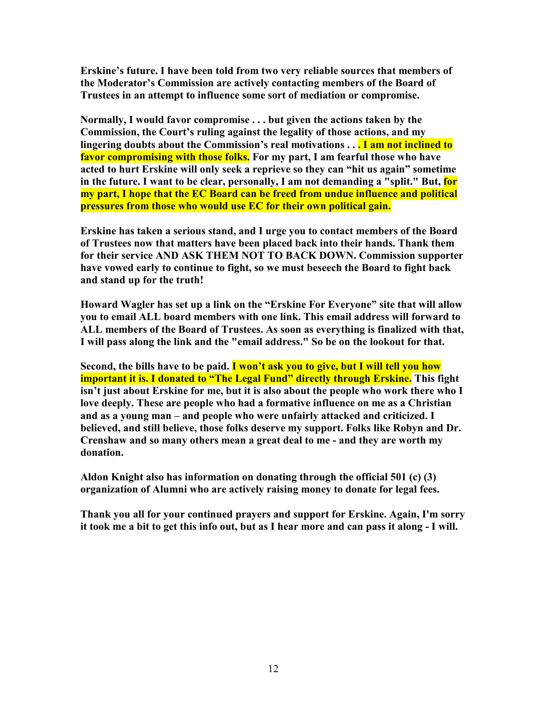**Erskine's future. I have been told from two very reliable sources that members of the Moderator's Commission are actively contacting members of the Board of Trustees in an attempt to influence some sort of mediation or compromise.** 

**Normally, I would favor compromise ... but given the actions taken by the Commission, the Court's ruling against the legality of those actions, and my lingering doubts about the Commission's real motivations . . . I am not inclined to favor compromising with those folks. For my part, I am fearful those who have acted to hurt Erskine will only seek a reprieve so they can "hit us again" sometime in the future. I want to be clear, personally, I am not demanding a "split." But, for my part, I hope that the EC Board can be freed from undue influence and political pressures from those who would use EC for their own political gain.** 

**Erskine has taken a serious stand, and I urge you to contact members of the Board of Trustees now that matters have been placed back into their hands. Thank them**  for their service AND ASK THEM NOT TO BACK DOWN. Commission supporter **have vowed early to continue to fight, so we must beseech the Board to fight back and stand up for the truth!** 

**Howard Wagler has set up a link on the "Erskine For Everyone" site that will allow you to email ALL board members with one link. This email address will forward to ALL members of the Board of Trustees. As soon as everything is finalized with that, I will pass along the link and the "email address." So be on the lookout for that.** 

**Second, the bills have to be paid. I won't ask you to give, but I will tell you how important it is. I donated to "The Legal Fund" directly through Erskine.** This fight **isn't just about Erskine for me, but it is also about the people who work there who I love deeply. These are people who had a formative influence on me as a Christian and as a young man – and people who were unfairly attacked and criticized. I believed, and still believe, those folks deserve my support. Folks like Robyn and Dr. Crenshaw and so many others mean a great deal to me - and they are worth my donation.** 

**Aldon Knight also has information on donating through the official 501 (c) (3) organization of Alumni who are actively raising money to donate for legal fees.** 

**Thank you all for your continued prayers and support for Erskine. Again, I'm sorry it took me a bit to get this info out, but as I hear more and can pass it along - I will.**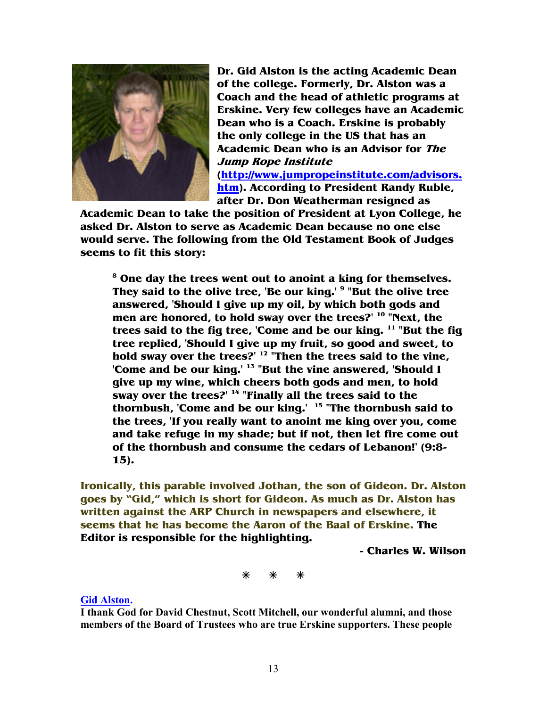

**Dr. Gid Alston is the acting Academic Dean of the college. Formerly, Dr. Alston was a Coach and the head of athletic programs at Erskine. Very few colleges have an Academic Dean who is a Coach. Erskine is probably the only college in the US that has an Academic Dean who is an Advisor for The Jump Rope Institute (http://www.jumpropeinstitute.com/advisors. htm). According to President Randy Ruble, after Dr. Don Weatherman resigned as** 

**Academic Dean to take the position of President at Lyon College, he asked Dr. Alston to serve as Academic Dean because no one else would serve. The following from the Old Testament Book of Judges seems to fit this story:** 

**8 One day the trees went out to anoint a king for themselves. They said to the olive tree, 'Be our king.' <sup>9</sup> "But the olive tree answered, 'Should I give up my oil, by which both gods and men are honored, to hold sway over the trees?' <sup>10</sup> "Next, the trees said to the fig tree, 'Come and be our king. <sup>11</sup> "But the fig tree replied, 'Should I give up my fruit, so good and sweet, to hold sway over the trees?' <sup>12</sup> "Then the trees said to the vine, 'Come and be our king.' <sup>13</sup> "But the vine answered, 'Should I give up my wine, which cheers both gods and men, to hold sway over the trees?' <sup>14</sup> "Finally all the trees said to the thornbush, 'Come and be our king.' <sup>15</sup> "The thornbush said to the trees, 'If you really want to anoint me king over you, come and take refuge in my shade; but if not, then let fire come out of the thornbush and consume the cedars of Lebanon!' (9:8- 15).** 

**Ironically, this parable involved Jothan, the son of Gideon. Dr. Alston goes by "Gid," which is short for Gideon. As much as Dr. Alston has written against the ARP Church in newspapers and elsewhere, it seems that he has become the Aaron of the Baal of Erskine. The Editor is responsible for the highlighting.** 

**- Charles W. Wilson** 

#### **Gid Alston.**

**I thank God for David Chestnut, Scott Mitchell, our wonderful alumni, and those members of the Board of Trustees who are true Erskine supporters. These people**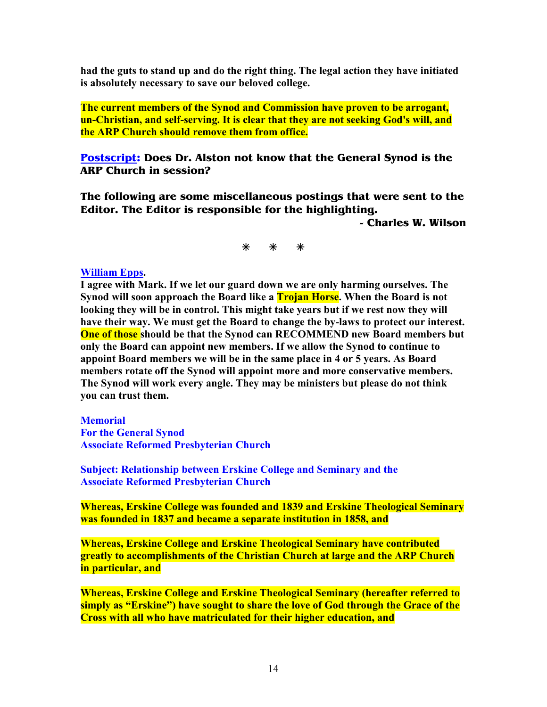**had the guts to stand up and do the right thing. The legal action they have initiated is absolutely necessary to save our beloved college.** 

**The current members of the Synod and Commission have proven to be arrogant, un-Christian, and self-serving. It is clear that they are not seeking God's will, and the ARP Church should remove them from office.** 

**Postscript: Does Dr. Alston not know that the General Synod is the ARP Church in session?** 

**The following are some miscellaneous postings that were sent to the Editor. The Editor is responsible for the highlighting.** 

**- Charles W. Wilson** 

### **William Epps.**

**I agree with Mark. If we let our guard down we are only harming ourselves. The Synod will soon approach the Board like a Trojan Horse. When the Board is not looking they will be in control. This might take years but if we rest now they will have their way. We must get the Board to change the by-laws to protect our interest. One of those** should be that the Synod can RECOMMEND new Board members but **only the Board can appoint new members. If we allow the Synod to continue to appoint Board members we will be in the same place in 4 or 5 years. As Board members rotate off the Synod will appoint more and more conservative members. The Synod will work every angle. They may be ministers but please do not think you can trust them.**

**Memorial** 

**For the General Synod Associate Reformed Presbyterian Church** 

**Subject: Relationship between Erskine College and Seminary and the Associate Reformed Presbyterian Church** 

**Whereas, Erskine College was founded and 1839 and Erskine Theological Seminary was founded in 1837 and became a separate institution in 1858, and** 

**Whereas, Erskine College and Erskine Theological Seminary have contributed greatly to accomplishments of the Christian Church at large and the ARP Church in particular, and** 

**Whereas, Erskine College and Erskine Theological Seminary (hereafter referred to simply as "Erskine") have sought to share the love of God through the Grace of the Cross with all who have matriculated for their higher education, and**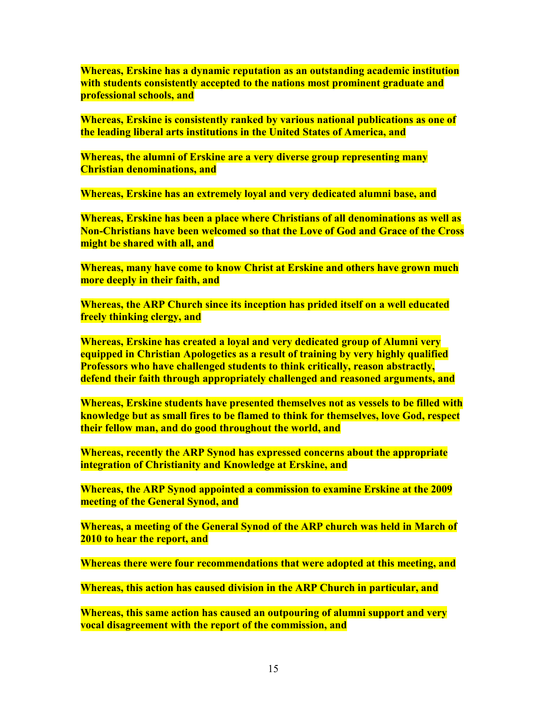**Whereas, Erskine has a dynamic reputation as an outstanding academic institution with students consistently accepted to the nations most prominent graduate and professional schools, and** 

**Whereas, Erskine is consistently ranked by various national publications as one of the leading liberal arts institutions in the United States of America, and** 

**Whereas, the alumni of Erskine are a very diverse group representing many Christian denominations, and** 

**Whereas, Erskine has an extremely loyal and very dedicated alumni base, and** 

**Whereas, Erskine has been a place where Christians of all denominations as well as +on-Christians have been welcomed so that the Love of God and Grace of the Cross might be shared with all, and** 

**Whereas, many have come to know Christ at Erskine and others have grown much more deeply in their faith, and** 

**Whereas, the ARP Church since its inception has prided itself on a well educated freely thinking clergy, and** 

**Whereas, Erskine has created a loyal and very dedicated group of Alumni very equipped in Christian Apologetics as a result of training by very highly qualified Professors who have challenged students to think critically, reason abstractly, defend their faith through appropriately challenged and reasoned arguments, and** 

**Whereas, Erskine students have presented themselves not as vessels to be filled with knowledge but as small fires to be flamed to think for themselves, love God, respect their fellow man, and do good throughout the world, and** 

**Whereas, recently the ARP Synod has expressed concerns about the appropriate integration of Christianity and Knowledge at Erskine, and** 

**Whereas, the ARP Synod appointed a commission to examine Erskine at the 2009 meeting of the General Synod, and** 

**Whereas, a meeting of the General Synod of the ARP church was held in March of 2010 to hear the report, and** 

**Whereas there were four recommendations that were adopted at this meeting, and** 

**Whereas, this action has caused division in the ARP Church in particular, and** 

**Whereas, this same action has caused an outpouring of alumni support and very vocal disagreement with the report of the commission, and**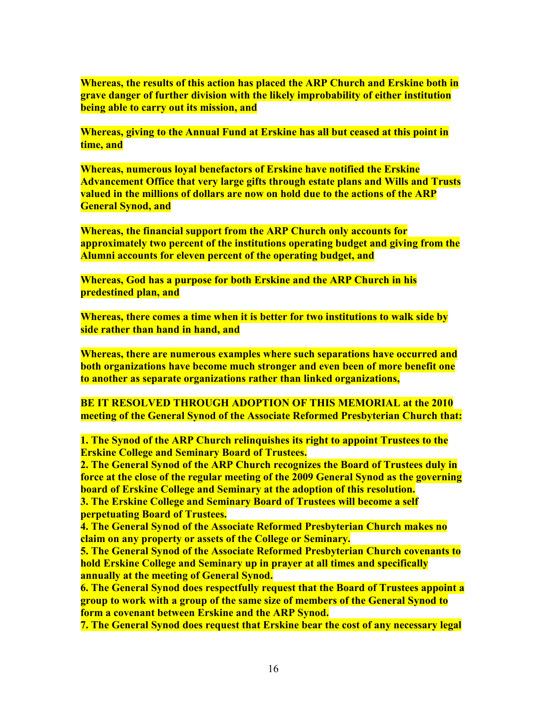**Whereas, the results of this action has placed the ARP Church and Erskine both in grave danger of further division with the likely improbability of either institution being able to carry out its mission, and** 

**Whereas, giving to the Annual Fund at Erskine has all but ceased at this point in time, and** 

**Whereas, numerous loyal benefactors of Erskine have notified the Erskine Advancement Office that very large gifts through estate plans and Wills and Trusts valued in the millions of dollars are now on hold due to the actions of the ARP General Synod, and** 

**Whereas, the financial support from the ARP Church only accounts for approximately two percent of the institutions operating budget and giving from the Alumni accounts for eleven percent of the operating budget, and** 

**Whereas, God has a purpose for both Erskine and the ARP Church in his predestined plan, and** 

**Whereas, there comes a time when it is better for two institutions to walk side by side rather than hand in hand, and** 

**Whereas, there are numerous examples where such separations have occurred and both organizations have become much stronger and even been of more benefit one to another as separate organizations rather than linked organizations,** 

**BE IT RESOLVED THROUGH ADOPTION OF THIS MEMORIAL at the 2010 meeting of the General Synod of the Associate Reformed Presbyterian Church that:** 

**1. The Synod of the ARP Church relinquishes its right to appoint Trustees to the Erskine College and Seminary Board of Trustees.** 

**2. The General Synod of the ARP Church recognizes the Board of Trustees duly in force at the close of the regular meeting of the 2009 General Synod as the governing board of Erskine College and Seminary at the adoption of this resolution.** 

**3. The Erskine College and Seminary Board of Trustees will become a self perpetuating Board of Trustees.** 

**4. The General Synod of the Associate Reformed Presbyterian Church makes no claim on any property or assets of the College or Seminary.** 

**5. The General Synod of the Associate Reformed Presbyterian Church covenants to hold Erskine College and Seminary up in prayer at all times and specifically annually at the meeting of General Synod.** 

**6. The General Synod does respectfully request that the Board of Trustees appoint a group to work with a group of the same size of members of the General Synod to form a covenant between Erskine and the ARP Synod.** 

**7. The General Synod does request that Erskine bear the cost of any necessary legal**